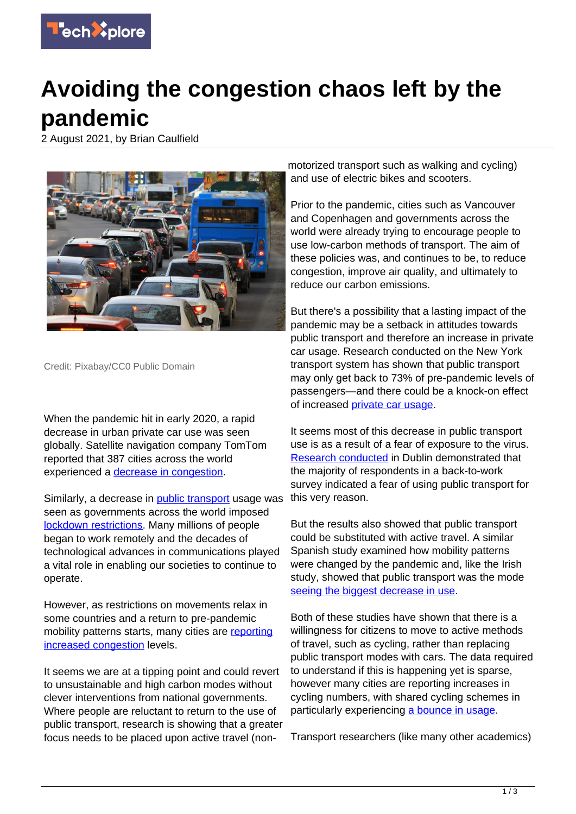

## **Avoiding the congestion chaos left by the pandemic**

2 August 2021, by Brian Caulfield



Credit: Pixabay/CC0 Public Domain

When the pandemic hit in early 2020, a rapid decrease in urban private car use was seen globally. Satellite navigation company TomTom reported that 387 cities across the world experienced a [decrease in congestion.](https://www.tomtom.com/en_gb/traffic-index/)

Similarly, a decrease in [public transport](https://techxplore.com/tags/public+transport/) usage was seen as governments across the world imposed [lockdown restrictions](https://doi.org/10.1016/j.trip.2021.100376). Many millions of people began to work remotely and the decades of technological advances in communications played a vital role in enabling our societies to continue to operate.

However, as restrictions on movements relax in some countries and a return to pre-pandemic mobility patterns starts, many cities are [reporting](https://inews.co.uk/news/environment/traffic-car-communte-london-up-30-per-cent-since-before-COVID-pandemic-929784) [increased congestion](https://inews.co.uk/news/environment/traffic-car-communte-london-up-30-per-cent-since-before-COVID-pandemic-929784) levels.

It seems we are at a tipping point and could revert to unsustainable and high carbon modes without clever interventions from national governments. Where people are reluctant to return to the use of public transport, research is showing that a greater focus needs to be placed upon active travel (non-

motorized transport such as walking and cycling) and use of electric bikes and scooters.

Prior to the pandemic, cities such as Vancouver and Copenhagen and governments across the world were already trying to encourage people to use low-carbon methods of transport. The aim of these policies was, and continues to be, to reduce congestion, improve air quality, and ultimately to reduce our carbon emissions.

But there's a possibility that a lasting impact of the pandemic may be a setback in attitudes towards public transport and therefore an increase in private car usage. Research conducted on the New York transport system has shown that public transport may only get back to 73% of pre-pandemic levels of passengers—and there could be a knock-on effect of increased [private car usage.](https://doi.org/10.1016/j.ijtst.2021.01.003)

It seems most of this decrease in public transport use is as a result of a fear of exposure to the virus. [Research conducted](https://doi.org/10.1016/j.cstp.2021.02.016) in Dublin demonstrated that the majority of respondents in a back-to-work survey indicated a fear of using public transport for this very reason.

But the results also showed that public transport could be substituted with active travel. A similar Spanish study examined how mobility patterns were changed by the pandemic and, like the Irish study, showed that public transport was the mode [seeing the biggest decrease in use](https://doi.org/10.1016/j.tranpol.2021.07.011).

Both of these studies have shown that there is a willingness for citizens to move to active methods of travel, such as cycling, rather than replacing public transport modes with cars. The data required to understand if this is happening yet is sparse, however many cities are reporting increases in cycling numbers, with shared cycling schemes in particularly experiencing [a bounce in usage](https://doi.org/10.1016/j.trip.2021.100353).

Transport researchers (like many other academics)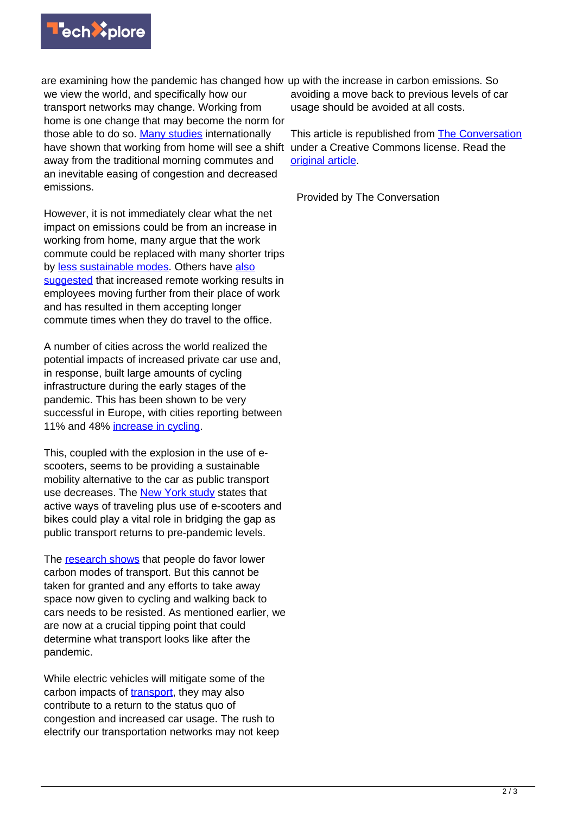

are examining how the pandemic has changed how up with the increase in carbon emissions. So we view the world, and specifically how our transport networks may change. Working from home is one change that may become the norm for those able to do so. [Many studies](https://doi.org/10.1016/j.tranpol.2021.04.008) internationally have shown that working from home will see a shift away from the traditional morning commutes and an inevitable easing of congestion and decreased emissions.

However, it is not immediately clear what the net impact on emissions could be from an increase in working from home, many argue that the work commute could be replaced with many shorter trips by [less sustainable modes](https://doi.org/10.1016/j.tbs.2020.12.001). Others have [also](https://doi.org/10.1016/j.tra.2015.07.018) [suggested](https://doi.org/10.1016/j.tra.2015.07.018) that increased remote working results in employees moving further from their place of work and has resulted in them accepting longer commute times when they do travel to the office.

A number of cities across the world realized the potential impacts of increased private car use and, in response, built large amounts of cycling infrastructure during the early stages of the pandemic. This has been shown to be very successful in Europe, with cities reporting between 11% and 48% [increase in cycling.](https://ecf.com/news-and-events/news/if-you-build-it-they-will-come-new-study-shows-impact-COVID-19-cycling)

This, coupled with the explosion in the use of escooters, seems to be providing a sustainable mobility alternative to the car as public transport use decreases. The [New York study](https://doi.org/10.1016/j.ijtst.2021.01.003) states that active ways of traveling plus use of e-scooters and bikes could play a vital role in bridging the gap as public transport returns to pre-pandemic levels.

The [research shows](https://ecf.com/news-and-events/news/if-you-build-it-they-will-come-new-study-shows-impact-COVID-19-cycling) that people do favor lower carbon modes of transport. But this cannot be taken for granted and any efforts to take away space now given to cycling and walking back to cars needs to be resisted. As mentioned earlier, we are now at a crucial tipping point that could determine what transport looks like after the pandemic.

While electric vehicles will mitigate some of the carbon impacts of [transport,](https://techxplore.com/tags/transport/) they may also contribute to a return to the status quo of congestion and increased car usage. The rush to electrify our transportation networks may not keep avoiding a move back to previous levels of car usage should be avoided at all costs.

This article is republished from [The Conversation](https://theconversation.com) under a Creative Commons license. Read the [original article](https://theconversation.com/the-pandemic-could-leave-us-with-congestion-chaos-heres-how-to-avoid-it-165118).

Provided by The Conversation